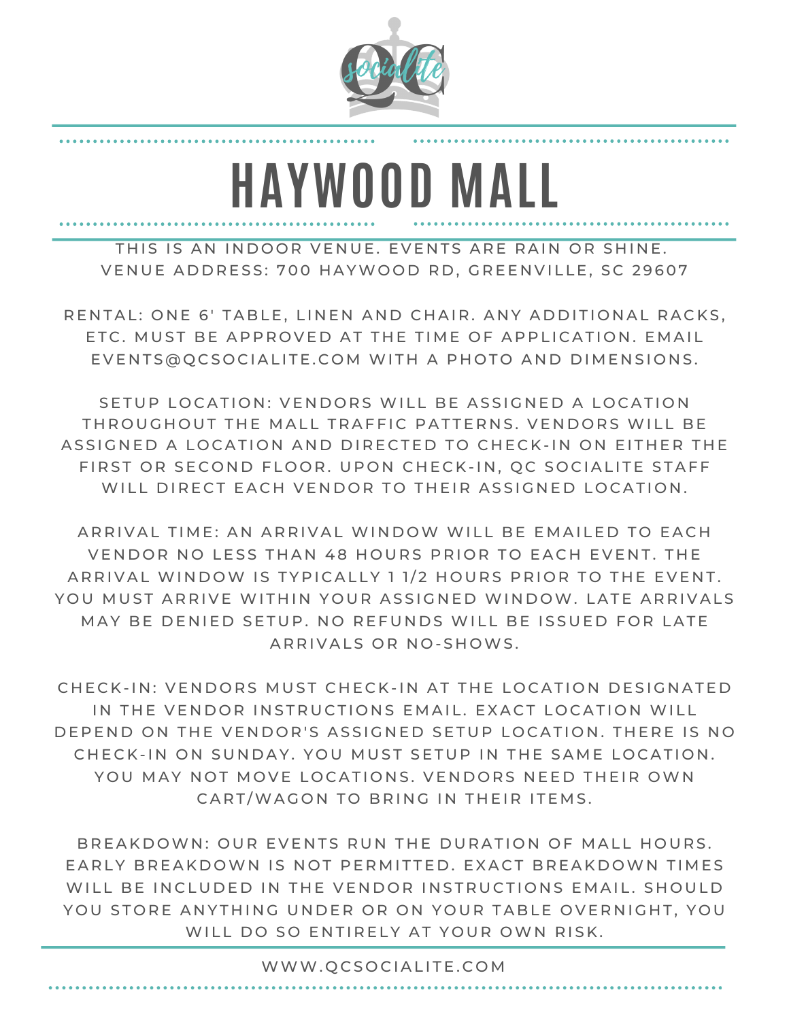

**HAYWOOD MALL**

THIS IS AN INDOOR VENUE. EVENTS ARE RAIN OR SHINE. VENUE ADDRESS: 700 HAYWOOD RD, GREENVILLE, SC 29607

RENTAL: ONE 6' TABLE, LINEN AND CHAIR, ANY ADDITIONAL RACKS. ETC. MUST BE APPROVED AT THE TIME OF APPLICATION. EMAIL EVENTS@QCSOCIALITE.COM WITH A PHOTO AND DIMENSIONS.

SETUP LOCATION: VENDORS WILL BE ASSIGNED A LOCATION THROUGHOUT THE MALL TRAFFIC PATTERNS. VENDORS WILL BE ASSIGNED A LOCATION AND DIRECTED TO CHECK-IN ON EITHER THE FIRST OR SECOND FLOOR. UPON CHECK-IN, OC SOCIALITE STAFF WILL DIRECT EACH VENDOR TO THEIR ASSIGNED LOCATION.

ARRIVAL TIME: AN ARRIVAL WINDOW WILL BE EMAILED TO EACH VENDOR NO LESS THAN 48 HOURS PRIOR TO EACH EVENT. THE ARRIVAL WINDOW IS TYPICALLY 1 1/2 HOURS PRIOR TO THE EVENT. YOU MUST ARRIVE WITHIN YOUR ASSIGNED WINDOW. LATE ARRIVALS MAY BE DENIED SETUP. NO REFUNDS WILL BE ISSUED FOR LATE ARRIVALS OR NO-SHOWS.

CHECK-IN: VENDORS MUST CHECK-IN AT THE LOCATION DESIGNATED IN THE VENDOR INSTRUCTIONS EMAIL. EXACT LOCATION WILL DEPEND ON THE VENDOR'S ASSIGNED SETUP LOCATION. THERE IS NO CHECK-IN ON SUNDAY. YOU MUST SETUP IN THE SAME LOCATION. YOU MAY NOT MOVE LOCATIONS. VENDORS NEED THEIR OWN CART/WAGON TO BRING IN THEIR ITEMS.

BREAKDOWN: OUR EVENTS RUN THE DURATION OF MALL HOURS. EARLY BREAKDOWN IS NOT PERMITTED. EXACT BREAKDOWN TIMES WILL BE INCLUDED IN THE VENDOR INSTRUCTIONS EMAIL. SHOULD YOU STORE ANYTHING UNDER OR ON YOUR TABLE OVERNIGHT, YOU WILL DO SO ENTIRELY AT YOUR OWN RISK.

WWW.QCSOCIALITE.COM